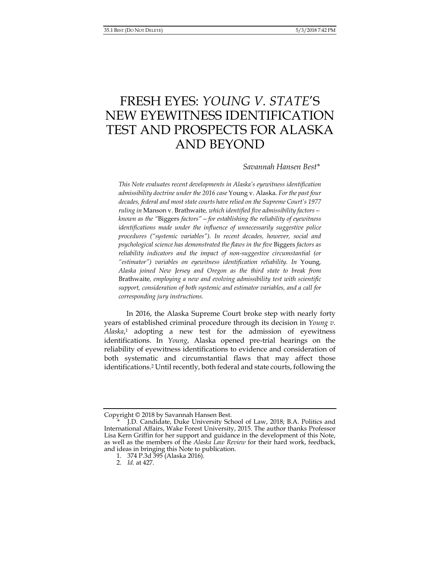# FRESH EYES: *YOUNG V. STATE*'S NEW EYEWITNESS IDENTIFICATION TEST AND PROSPECTS FOR ALASKA AND BEYOND

# *Savannah Hansen Best\**

*This Note evaluates recent developments in Alaska's eyewitness identification admissibility doctrine under the 2016 case* Young v. Alaska*. For the past four decades, federal and most state courts have relied on the Supreme Court's 1977 ruling in* Manson v. Brathwaite*, which identified five admissibility factors known as the "*Biggers *factors"—for establishing the reliability of eyewitness identifications made under the influence of unnecessarily suggestive police procedures ("systemic variables"). In recent decades, however, social and psychological science has demonstrated the flaws in the five* Biggers *factors as reliability indicators and the impact of non-suggestive circumstantial (or "estimator") variables on eyewitness identification reliability. In* Young*, Alaska joined New Jersey and Oregon as the third state to break from*  Brathwaite*, employing a new and evolving admissibility test with scientific support, consideration of both systemic and estimator variables, and a call for corresponding jury instructions.*

 In 2016, the Alaska Supreme Court broke step with nearly forty years of established criminal procedure through its decision in *Young v. Alaska*, 1 adopting a new test for the admission of eyewitness identifications. In *Young*, Alaska opened pre-trial hearings on the reliability of eyewitness identifications to evidence and consideration of both systematic and circumstantial flaws that may affect those identifications.2 Until recently, both federal and state courts, following the

Copyright © 2018 by Savannah Hansen Best.

J.D. Candidate, Duke University School of Law, 2018; B.A. Politics and International Affairs, Wake Forest University, 2015. The author thanks Professor Lisa Kern Griffin for her support and guidance in the development of this Note, as well as the members of the *Alaska Law Review* for their hard work, feedback, and ideas in bringing this Note to publication.

 <sup>1. 374</sup> P.3d 395 (Alaska 2016).

 <sup>2.</sup> *Id.* at 427.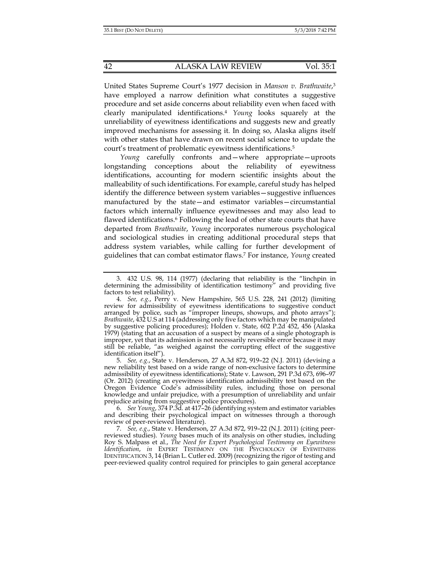United States Supreme Court's 1977 decision in *Manson v. Brathwaite*, 3 have employed a narrow definition what constitutes a suggestive procedure and set aside concerns about reliability even when faced with clearly manipulated identifications.4 *Young* looks squarely at the unreliability of eyewitness identifications and suggests new and greatly improved mechanisms for assessing it. In doing so, Alaska aligns itself with other states that have drawn on recent social science to update the court's treatment of problematic eyewitness identifications.5

*Young* carefully confronts and—where appropriate—uproots longstanding conceptions about the reliability of eyewitness identifications, accounting for modern scientific insights about the malleability of such identifications. For example, careful study has helped identify the difference between system variables—suggestive influences manufactured by the state—and estimator variables—circumstantial factors which internally influence eyewitnesses and may also lead to flawed identifications.<sup>6</sup> Following the lead of other state courts that have departed from *Brathwaite*, *Young* incorporates numerous psychological and sociological studies in creating additional procedural steps that address system variables, while calling for further development of guidelines that can combat estimator flaws.7 For instance, *Young* created

 6. *See Young*, 374 P.3d*.* at 417–26 (identifying system and estimator variables and describing their psychological impact on witnesses through a thorough review of peer-reviewed literature).

 <sup>3. 432</sup> U.S. 98, 114 (1977) (declaring that reliability is the "linchpin in determining the admissibility of identification testimony" and providing five factors to test reliability).

 <sup>4.</sup> *See, e.g.*, Perry v. New Hampshire, 565 U.S. 228, 241 (2012) (limiting review for admissibility of eyewitness identifications to suggestive conduct arranged by police, such as "improper lineups, showups, and photo arrays"); *Brathwaite*, 432 U.S at 114 (addressing only five factors which may be manipulated by suggestive policing procedures); Holden v. State, 602 P.2d 452, 456 (Alaska 1979) (stating that an accusation of a suspect by means of a single photograph is improper, yet that its admission is not necessarily reversible error because it may still be reliable, "as weighed against the corrupting effect of the suggestive identification itself").

 <sup>5.</sup> *See, e.g.*, State v. Henderson, 27 A.3d 872, 919–22 (N.J. 2011) (devising a new reliability test based on a wide range of non-exclusive factors to determine admissibility of eyewitness identifications); State v. Lawson, 291 P.3d 673, 696–97 (Or. 2012) (creating an eyewitness identification admissibility test based on the Oregon Evidence Code's admissibility rules, including those on personal knowledge and unfair prejudice, with a presumption of unreliability and unfair prejudice arising from suggestive police procedures).

 <sup>7.</sup> *See, e.g.*, State v. Henderson, 27 A.3d 872, 919–22 (N.J. 2011) (citing peerreviewed studies). *Young* bases much of its analysis on other studies, including Roy S. Malpass et al., *The Need for Expert Psychological Testimony on Eyewitness Identification*, *in* EXPERT TESTIMONY ON THE PSYCHOLOGY OF EYEWITNESS IDENTIFICATION 3, 14 (Brian L. Cutler ed. 2009) (recognizing the rigor of testing and peer-reviewed quality control required for principles to gain general acceptance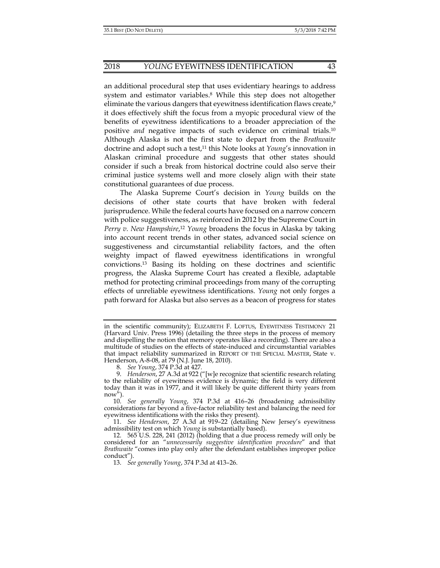an additional procedural step that uses evidentiary hearings to address system and estimator variables.8 While this step does not altogether eliminate the various dangers that eyewitness identification flaws create,<sup>9</sup> it does effectively shift the focus from a myopic procedural view of the benefits of eyewitness identifications to a broader appreciation of the positive *and* negative impacts of such evidence on criminal trials.10 Although Alaska is not the first state to depart from the *Brathwaite*  doctrine and adopt such a test,11 this Note looks at *Young*'s innovation in Alaskan criminal procedure and suggests that other states should consider if such a break from historical doctrine could also serve their criminal justice systems well and more closely align with their state constitutional guarantees of due process.

The Alaska Supreme Court's decision in *Young* builds on the decisions of other state courts that have broken with federal jurisprudence. While the federal courts have focused on a narrow concern with police suggestiveness, as reinforced in 2012 by the Supreme Court in *Perry v. New Hampshire*, <sup>12</sup> *Young* broadens the focus in Alaska by taking into account recent trends in other states, advanced social science on suggestiveness and circumstantial reliability factors, and the often weighty impact of flawed eyewitness identifications in wrongful convictions.13 Basing its holding on these doctrines and scientific progress, the Alaska Supreme Court has created a flexible, adaptable method for protecting criminal proceedings from many of the corrupting effects of unreliable eyewitness identifications. *Young* not only forges a path forward for Alaska but also serves as a beacon of progress for states

 11. *See Henderson*, 27 A.3d at 919–22 (detailing New Jersey's eyewitness admissibility test on which *Young* is substantially based).

in the scientific community); ELIZABETH F. LOFTUS, EYEWITNESS TESTIMONY 21 (Harvard Univ. Press 1996) (detailing the three steps in the process of memory and dispelling the notion that memory operates like a recording). There are also a multitude of studies on the effects of state-induced and circumstantial variables that impact reliability summarized in REPORT OF THE SPECIAL MASTER, State v. Henderson, A-8-08, at 79 (N.J. June 18, 2010).

 <sup>8.</sup> *See Young*, 374 P.3d at 427*.*

 <sup>9.</sup> *Henderson*, 27 A.3d at 922 ("[w]e recognize that scientific research relating to the reliability of eyewitness evidence is dynamic; the field is very different today than it was in 1977, and it will likely be quite different thirty years from  $now''$ ).

 <sup>10.</sup> *See generally Young*, 374 P.3d at 416–26 (broadening admissibility considerations far beyond a five-factor reliability test and balancing the need for eyewitness identifications with the risks they present).

 <sup>12. 565</sup> U.S. 228, 241 (2012) (holding that a due process remedy will only be considered for an "*unnecessarily suggestive identification procedure*" and that *Brathwaite* "comes into play only after the defendant establishes improper police conduct").

 <sup>13.</sup> *See generally Young*, 374 P.3d at 413–26.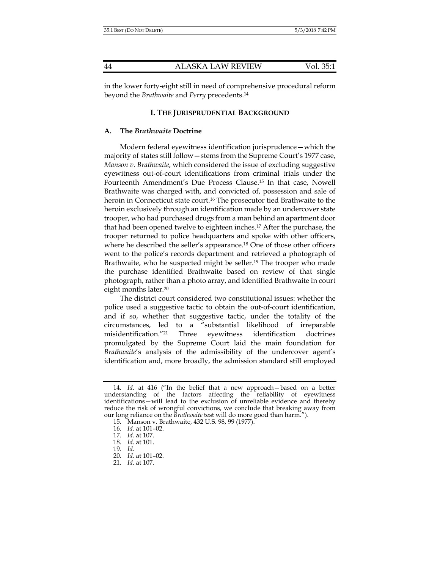in the lower forty-eight still in need of comprehensive procedural reform beyond the *Brathwaite* and *Perry* precedents.14

## **I. THE JURISPRUDENTIAL BACKGROUND**

## **A. The** *Brathwaite* **Doctrine**

Modern federal eyewitness identification jurisprudence—which the majority of states still follow—stems from the Supreme Court's 1977 case, *Manson v. Brathwaite*, which considered the issue of excluding suggestive eyewitness out-of-court identifications from criminal trials under the Fourteenth Amendment's Due Process Clause.15 In that case, Nowell Brathwaite was charged with, and convicted of, possession and sale of heroin in Connecticut state court.<sup>16</sup> The prosecutor tied Brathwaite to the heroin exclusively through an identification made by an undercover state trooper, who had purchased drugs from a man behind an apartment door that had been opened twelve to eighteen inches.17 After the purchase, the trooper returned to police headquarters and spoke with other officers, where he described the seller's appearance.18 One of those other officers went to the police's records department and retrieved a photograph of Brathwaite, who he suspected might be seller.<sup>19</sup> The trooper who made the purchase identified Brathwaite based on review of that single photograph, rather than a photo array, and identified Brathwaite in court eight months later.20

The district court considered two constitutional issues: whether the police used a suggestive tactic to obtain the out-of-court identification, and if so, whether that suggestive tactic, under the totality of the circumstances, led to a "substantial likelihood of irreparable misidentification."21 Three eyewitness identification doctrines promulgated by the Supreme Court laid the main foundation for *Brathwaite*'s analysis of the admissibility of the undercover agent's identification and, more broadly, the admission standard still employed

 <sup>14.</sup> *Id.* at 416 ("In the belief that a new approach—based on a better understanding of the factors affecting the reliability of eyewitness identifications—will lead to the exclusion of unreliable evidence and thereby reduce the risk of wrongful convictions, we conclude that breaking away from our long reliance on the *Brathwaite* test will do more good than harm.").

 <sup>15.</sup> Manson v. Brathwaite, 432 U.S. 98, 99 (1977).

 <sup>16.</sup> *Id.* at 101–02.

 <sup>17.</sup> *Id.* at 107.

 <sup>18.</sup> *Id*. at 101.

 <sup>19.</sup> *Id.*

 <sup>20.</sup> *Id.* at 101–02.

 <sup>21.</sup> *Id.* at 107.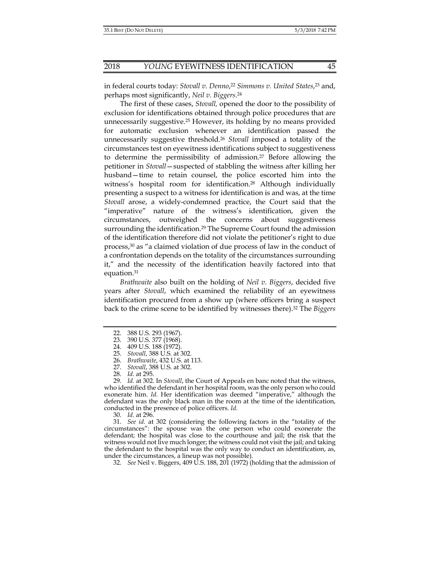in federal courts today: *Stovall v. Denno*, <sup>22</sup> *Simmons v. United States*, 23 and, perhaps most significantly, *Neil v. Biggers*. 24

The first of these cases, *Stovall,* opened the door to the possibility of exclusion for identifications obtained through police procedures that are unnecessarily suggestive.25 However, its holding by no means provided for automatic exclusion whenever an identification passed the unnecessarily suggestive threshold.26 *Stovall* imposed a totality of the circumstances test on eyewitness identifications subject to suggestiveness to determine the permissibility of admission.27 Before allowing the petitioner in *Stovall*—suspected of stabbling the witness after killing her husband—time to retain counsel, the police escorted him into the witness's hospital room for identification.<sup>28</sup> Although individually presenting a suspect to a witness for identification is and was, at the time *Stovall* arose, a widely-condemned practice, the Court said that the "imperative" nature of the witness's identification, given the circumstances, outweighed the concerns about suggestiveness surrounding the identification.<sup>29</sup> The Supreme Court found the admission of the identification therefore did not violate the petitioner's right to due process,30 as "a claimed violation of due process of law in the conduct of a confrontation depends on the totality of the circumstances surrounding it," and the necessity of the identification heavily factored into that equation.31

*Brathwaite* also built on the holding of *Neil v. Biggers*, decided five years after *Stovall*, which examined the reliability of an eyewitness identification procured from a show up (where officers bring a suspect back to the crime scene to be identified by witnesses there).32 The *Biggers*

 29. *Id.* at 302. In *Stovall*, the Court of Appeals en banc noted that the witness, who identified the defendant in her hospital room, was the only person who could exonerate him. *Id.* Her identification was deemed "imperative," although the defendant was the only black man in the room at the time of the identification, conducted in the presence of police officers. *Id.*

30. *Id.* at 296.

 31. *See id.* at 302 (considering the following factors in the "totality of the circumstances": the spouse was the one person who could exonerate the defendant; the hospital was close to the courthouse and jail; the risk that the witness would not live much longer; the witness could not visit the jail; and taking the defendant to the hospital was the only way to conduct an identification, as, under the circumstances, a lineup was not possible).

32. *See* Neil v. Biggers, 409 U.S. 188, 201 (1972) (holding that the admission of

 <sup>22. 388</sup> U.S. 293 (1967).

 <sup>23. 390</sup> U.S. 377 (1968).

 <sup>24. 409</sup> U.S. 188 (1972).

 <sup>25.</sup> *Stovall*, 388 U.S. at 302.

 <sup>26.</sup> *Brathwaite*, 432 U.S. at 113.

 <sup>27.</sup> *Stovall*, 388 U.S. at 302.

 <sup>28.</sup> *Id.* at 295.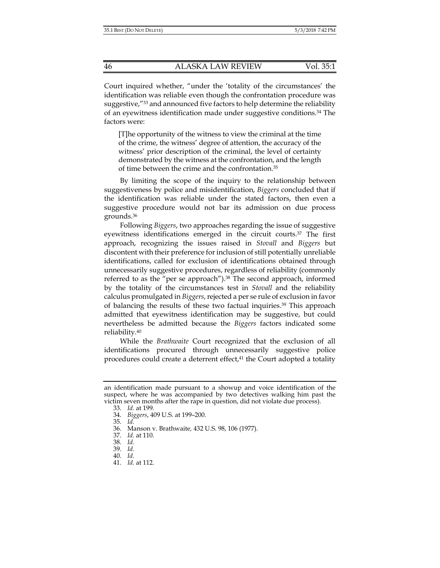Court inquired whether, "under the 'totality of the circumstances' the identification was reliable even though the confrontation procedure was suggestive,"33 and announced five factors to help determine the reliability of an eyewitness identification made under suggestive conditions.34 The factors were:

[T]he opportunity of the witness to view the criminal at the time of the crime, the witness' degree of attention, the accuracy of the witness' prior description of the criminal, the level of certainty demonstrated by the witness at the confrontation, and the length of time between the crime and the confrontation.35

By limiting the scope of the inquiry to the relationship between suggestiveness by police and misidentification, *Biggers* concluded that if the identification was reliable under the stated factors, then even a suggestive procedure would not bar its admission on due process grounds.36

Following *Biggers*, two approaches regarding the issue of suggestive eyewitness identifications emerged in the circuit courts.37 The first approach, recognizing the issues raised in *Stovall* and *Biggers* but discontent with their preference for inclusion of still potentially unreliable identifications, called for exclusion of identifications obtained through unnecessarily suggestive procedures, regardless of reliability (commonly referred to as the "per se approach").<sup>38</sup> The second approach, informed by the totality of the circumstances test in *Stovall* and the reliability calculus promulgated in *Biggers*, rejected a per se rule of exclusion in favor of balancing the results of these two factual inquiries.39 This approach admitted that eyewitness identification may be suggestive, but could nevertheless be admitted because the *Biggers* factors indicated some reliability.40

While the *Brathwaite* Court recognized that the exclusion of all identifications procured through unnecessarily suggestive police procedures could create a deterrent effect,<sup>41</sup> the Court adopted a totality

an identification made pursuant to a showup and voice identification of the suspect, where he was accompanied by two detectives walking him past the victim seven months after the rape in question, did not violate due process).

 <sup>33.</sup> *Id.* at 199.

 <sup>34.</sup> *Biggers*, 409 U.S. at 199–200.

 <sup>35.</sup> *Id.*

 <sup>36.</sup> Manson v. Brathwaite*,* 432 U.S. 98, 106 (1977).

 <sup>37.</sup> *Id.* at 110.

 <sup>38.</sup> *Id.*

 <sup>39.</sup> *Id.*

 <sup>40.</sup> *Id.*

 <sup>41.</sup> *Id.* at 112.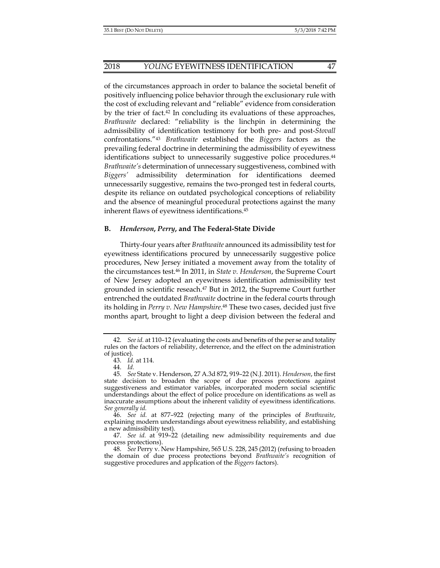of the circumstances approach in order to balance the societal benefit of positively influencing police behavior through the exclusionary rule with the cost of excluding relevant and "reliable" evidence from consideration by the trier of fact.42 In concluding its evaluations of these approaches, *Brathwaite* declared: "reliability is the linchpin in determining the admissibility of identification testimony for both pre- and post-*Stovall* confrontations."43 *Brathwaite* established the *Biggers* factors as the prevailing federal doctrine in determining the admissibility of eyewitness identifications subject to unnecessarily suggestive police procedures.<sup>44</sup> *Brathwaite's* determination of unnecessary suggestiveness, combined with *Biggers'* admissibility determination for identifications deemed unnecessarily suggestive, remains the two-pronged test in federal courts, despite its reliance on outdated psychological conceptions of reliability and the absence of meaningful procedural protections against the many inherent flaws of eyewitness identifications.45

## **B.** *Henderson***,** *Perry***, and The Federal-State Divide**

Thirty-four years after *Brathwaite* announced its admissibility test for eyewitness identifications procured by unnecessarily suggestive police procedures, New Jersey initiated a movement away from the totality of the circumstances test.46 In 2011, in *State v. Henderson*, the Supreme Court of New Jersey adopted an eyewitness identification admissibility test grounded in scientific reseach.<sup>47</sup> But in 2012, the Supreme Court further entrenched the outdated *Brathwaite* doctrine in the federal courts through its holding in *Perry v. New Hampshire*. 48 These two cases, decided just five months apart, brought to light a deep division between the federal and

 <sup>42.</sup> *See id.* at 110–12 (evaluating the costs and benefits of the per se and totality rules on the factors of reliability, deterrence, and the effect on the administration of justice).

 <sup>43.</sup> *Id.* at 114.

 <sup>44.</sup> *Id.*

 <sup>45.</sup> *See* State v. Henderson, 27 A.3d 872, 919–22 (N.J. 2011). *Henderson*, the first state decision to broaden the scope of due process protections against suggestiveness and estimator variables, incorporated modern social scientific understandings about the effect of police procedure on identifications as well as inaccurate assumptions about the inherent validity of eyewitness identifications. *See generally id.* 

 <sup>46.</sup> *See id.* at 877–922 (rejecting many of the principles of *Brathwaite*, explaining modern understandings about eyewitness reliability, and establishing a new admissibility test).

 <sup>47.</sup> *See id.* at 919–22 (detailing new admissibility requirements and due process protections).

 <sup>48.</sup> *See* Perry v. New Hampshire, 565 U.S. 228, 245 (2012) (refusing to broaden the domain of due process protections beyond *Brathwaite's* recognition of suggestive procedures and application of the *Biggers* factors).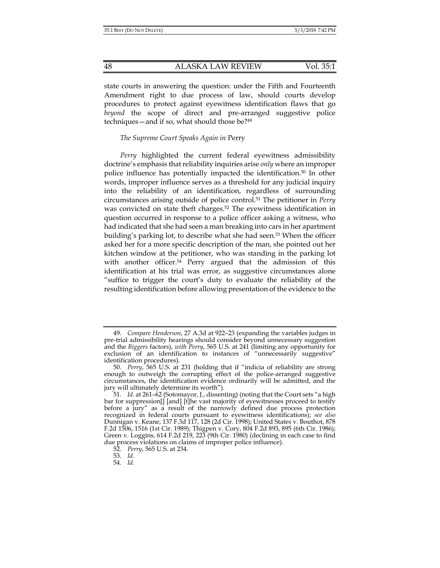state courts in answering the question: under the Fifth and Fourteenth Amendment right to due process of law, should courts develop procedures to protect against eyewitness identification flaws that go *beyond* the scope of direct and pre-arranged suggestive police techniques—and if so, what should those be?49

## *The Supreme Court Speaks Again in* Perry

*Perry* highlighted the current federal eyewitness admissibility doctrine's emphasis that reliability inquiries arise *only* where an improper police influence has potentially impacted the identification.50 In other words, improper influence serves as a threshold for any judicial inquiry into the reliability of an identification, regardless of surrounding circumstances arising outside of police control.51 The petitioner in *Perry* was convicted on state theft charges.<sup>52</sup> The eyewitness identification in question occurred in response to a police officer asking a witness, who had indicated that she had seen a man breaking into cars in her apartment building's parking lot, to describe what she had seen.<sup>53</sup> When the officer asked her for a more specific description of the man, she pointed out her kitchen window at the petitioner, who was standing in the parking lot with another officer.<sup>54</sup> Perry argued that the admission of this identification at his trial was error, as suggestive circumstances alone "suffice to trigger the court's duty to evaluate the reliability of the resulting identification before allowing presentation of the evidence to the

 <sup>49.</sup> *Compare Henderson*, 27 A.3d at 922–23 (expanding the variables judges in pre-trial admissibility hearings should consider beyond unnecessary suggestion and the *Biggers* factors), *with Perry*, 565 U.S. at 241 (limiting any opportunity for exclusion of an identification to instances of "unnecessarily suggestive" identification procedures).

 <sup>50.</sup> *Perry*, 565 U.S. at 231 (holding that if "indicia of reliability are strong enough to outweigh the corrupting effect of the police-arranged suggestive circumstances, the identification evidence ordinarily will be admitted, and the jury will ultimately determine its worth").

 <sup>51.</sup> *Id.* at 261–62 (Sotomayor, J., dissenting) (noting that the Court sets "a high bar for suppression[] [and] [t]he vast majority of eyewitnesses proceed to testify before a jury" as a result of the narrowly defined due process protection recognized in federal courts pursuant to eyewitness identifications); *see also* Dunnigan v. Keane, 137 F.3d 117, 128 (2d Cir. 1998); United States v. Bouthot, 878 F.2d 1506, 1516 (1st Cir. 1989); Thigpen v. Cory, 804 F.2d 893, 895 (6th Cir. 1986); Green v. Loggins, 614 F.2d 219, 223 (9th Cir. 1980) (declining in each case to find due process violations on claims of improper police influence).

 <sup>52.</sup> *Perry*, 565 U.S. at 234.

 <sup>53.</sup> *Id.*

 <sup>54.</sup> *Id.*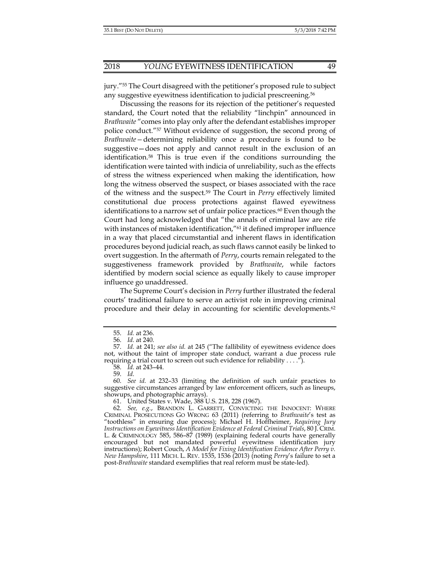jury."55 The Court disagreed with the petitioner's proposed rule to subject any suggestive eyewitness identification to judicial prescreening.56

 Discussing the reasons for its rejection of the petitioner's requested standard, the Court noted that the reliability "linchpin" announced in *Brathwaite* "comes into play only after the defendant establishes improper police conduct."57 Without evidence of suggestion, the second prong of *Brathwaite—*determining reliability once a procedure is found to be suggestive—does not apply and cannot result in the exclusion of an identification.58 This is true even if the conditions surrounding the identification were tainted with indicia of unreliability, such as the effects of stress the witness experienced when making the identification, how long the witness observed the suspect, or biases associated with the race of the witness and the suspect.59 The Court in *Perry* effectively limited constitutional due process protections against flawed eyewitness identifications to a narrow set of unfair police practices.<sup>60</sup> Even though the Court had long acknowledged that "the annals of criminal law are rife with instances of mistaken identification,"<sup>61</sup> it defined improper influence in a way that placed circumstantial and inherent flaws in identification procedures beyond judicial reach, as such flaws cannot easily be linked to overt suggestion. In the aftermath of *Perry*, courts remain relegated to the suggestiveness framework provided by *Brathwaite*, while factors identified by modern social science as equally likely to cause improper influence go unaddressed.

The Supreme Court's decision in *Perry* further illustrated the federal courts' traditional failure to serve an activist role in improving criminal procedure and their delay in accounting for scientific developments.62

 <sup>55.</sup> *Id.* at 236.

 <sup>56.</sup> *Id.* at 240.

 <sup>57.</sup> *Id.* at 241; *see also id.* at 245 ("The fallibility of eyewitness evidence does not, without the taint of improper state conduct, warrant a due process rule requiring a trial court to screen out such evidence for reliability . . . .").

 <sup>58.</sup> *Id.* at 243–44.

 <sup>59.</sup> *Id.*

 <sup>60.</sup> *See id.* at 232–33 (limiting the definition of such unfair practices to suggestive circumstances arranged by law enforcement officers, such as lineups, showups, and photographic arrays).

 <sup>61.</sup> United States v. Wade, 388 U.S. 218, 228 (1967).

 <sup>62.</sup> *See, e.g.*, BRANDON L. GARRETT, CONVICTING THE INNOCENT: WHERE CRIMINAL PROSECUTIONS GO WRONG 63 (2011) (referring to *Brathwaite*'s test as "toothless" in ensuring due process); Michael H. Hoffheimer, *Requiring Jury Instructions on Eyewitness Identification Evidence at Federal Criminal Trials*, 80 J. CRIM. L. & CRIMINOLOGY 585, 586–87 (1989) (explaining federal courts have generally encouraged but not mandated powerful eyewitness identification jury instructions); Robert Couch, *A Model for Fixing Identification Evidence After Perry v. New Hampshire*, 111 MICH. L. REV. 1535, 1536 (2013) (noting *Perry*'s failure to set a post-*Brathwaite* standard exemplifies that real reform must be state-led).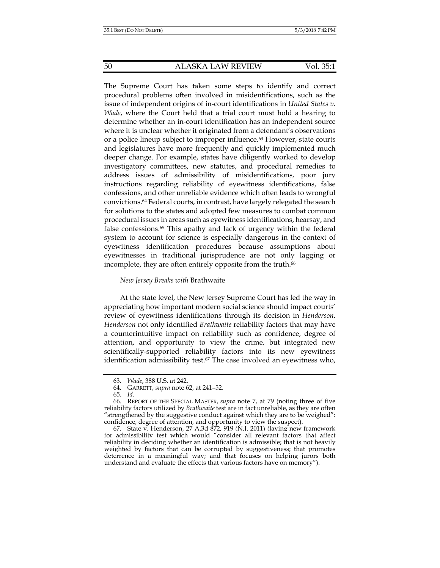#### 50 ALASKA LAW REVIEW Vol. 35:1

The Supreme Court has taken some steps to identify and correct procedural problems often involved in misidentifications, such as the issue of independent origins of in-court identifications in *United States v. Wade*, where the Court held that a trial court must hold a hearing to determine whether an in-court identification has an independent source where it is unclear whether it originated from a defendant's observations or a police lineup subject to improper influence.63 However, state courts and legislatures have more frequently and quickly implemented much deeper change. For example, states have diligently worked to develop investigatory committees, new statutes, and procedural remedies to address issues of admissibility of misidentifications, poor jury instructions regarding reliability of eyewitness identifications, false confessions, and other unreliable evidence which often leads to wrongful convictions.64 Federal courts, in contrast, have largely relegated the search for solutions to the states and adopted few measures to combat common procedural issues in areas such as eyewitness identifications, hearsay, and false confessions.65 This apathy and lack of urgency within the federal system to account for science is especially dangerous in the context of eyewitness identification procedures because assumptions about eyewitnesses in traditional jurisprudence are not only lagging or incomplete, they are often entirely opposite from the truth.<sup>66</sup>

## *New Jersey Breaks with* Brathwaite

At the state level, the New Jersey Supreme Court has led the way in appreciating how important modern social science should impact courts' review of eyewitness identifications through its decision in *Henderson*. *Henderson* not only identified *Brathwaite* reliability factors that may have a counterintuitive impact on reliability such as confidence, degree of attention, and opportunity to view the crime, but integrated new scientifically-supported reliability factors into its new eyewitness identification admissibility test.<sup>67</sup> The case involved an eyewitness who,

 67. State v. Henderson, 27 A.3d 872, 919 (N.J. 2011) (laying new framework for admissibility test which would "consider all relevant factors that affect reliability in deciding whether an identification is admissible; that is not heavily weighted by factors that can be corrupted by suggestiveness; that promotes deterrence in a meaningful way; and that focuses on helping jurors both understand and evaluate the effects that various factors have on memory").

 <sup>63.</sup> *Wade*, 388 U.S. at 242.

 <sup>64.</sup> GARRETT, *supra* note 62, at 241–52.

 <sup>65.</sup> *Id.*

 <sup>66.</sup> REPORT OF THE SPECIAL MASTER, *supra* note 7, at 79 (noting three of five reliability factors utilized by *Brathwaite* test are in fact unreliable, as they are often "strengthened by the suggestive conduct against which they are to be weighed": confidence, degree of attention, and opportunity to view the suspect).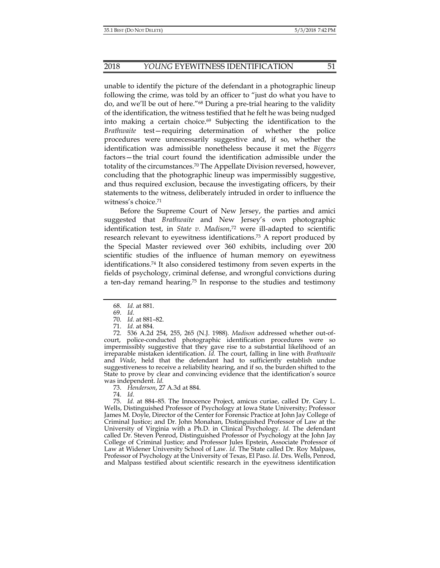unable to identify the picture of the defendant in a photographic lineup following the crime, was told by an officer to "just do what you have to do, and we'll be out of here."68 During a pre-trial hearing to the validity of the identification, the witness testified that he felt he was being nudged into making a certain choice.69 Subjecting the identification to the *Brathwaite* test—requiring determination of whether the police procedures were unnecessarily suggestive and, if so, whether the identification was admissible nonetheless because it met the *Biggers* factors—the trial court found the identification admissible under the totality of the circumstances.70 The Appellate Division reversed, however, concluding that the photographic lineup was impermissibly suggestive, and thus required exclusion, because the investigating officers, by their statements to the witness, deliberately intruded in order to influence the witness's choice.71

Before the Supreme Court of New Jersey, the parties and amici suggested that *Brathwaite* and New Jersey's own photographic identification test, in *State v. Madison*, 72 were ill-adapted to scientific research relevant to eyewitness identifications.<sup>73</sup> A report produced by the Special Master reviewed over 360 exhibits, including over 200 scientific studies of the influence of human memory on eyewitness identifications.74 It also considered testimony from seven experts in the fields of psychology, criminal defense, and wrongful convictions during a ten-day remand hearing.75 In response to the studies and testimony

74. *Id.*

 75. *Id.* at 884–85. The Innocence Project, amicus curiae, called Dr. Gary L. Wells, Distinguished Professor of Psychology at Iowa State University; Professor James M. Doyle, Director of the Center for Forensic Practice at John Jay College of Criminal Justice; and Dr. John Monahan, Distinguished Professor of Law at the University of Virginia with a Ph.D. in Clinical Psychology. *Id.* The defendant called Dr. Steven Penrod, Distinguished Professor of Psychology at the John Jay College of Criminal Justice; and Professor Jules Epstein, Associate Professor of Law at Widener University School of Law. *Id.* The State called Dr. Roy Malpass, Professor of Psychology at the University of Texas, El Paso. *Id.* Drs. Wells, Penrod, and Malpass testified about scientific research in the eyewitness identification

 <sup>68.</sup> *Id.* at 881.

 <sup>69.</sup> *Id.*

 <sup>70.</sup> *Id.* at 881–82.

 <sup>71.</sup> *Id.* at 884.

 <sup>72. 536</sup> A.2d 254, 255, 265 (N.J. 1988). *Madison* addressed whether out-ofcourt, police-conducted photographic identification procedures were so impermissibly suggestive that they gave rise to a substantial likelihood of an irreparable mistaken identification. *Id.* The court, falling in line with *Brathwaite* and *Wade*, held that the defendant had to sufficiently establish undue suggestiveness to receive a reliability hearing, and if so, the burden shifted to the State to prove by clear and convincing evidence that the identification's source was independent. *Id.*

 <sup>73.</sup> *Henderson*, 27 A.3d at 884.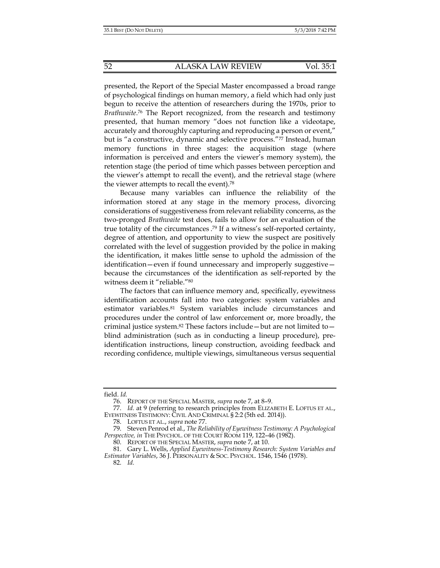presented, the Report of the Special Master encompassed a broad range of psychological findings on human memory, a field which had only just begun to receive the attention of researchers during the 1970s, prior to *Brathwaite*. 76 The Report recognized, from the research and testimony presented, that human memory "does not function like a videotape, accurately and thoroughly capturing and reproducing a person or event," but is "a constructive, dynamic and selective process."77 Instead, human memory functions in three stages: the acquisition stage (where information is perceived and enters the viewer's memory system), the retention stage (the period of time which passes between perception and the viewer's attempt to recall the event), and the retrieval stage (where the viewer attempts to recall the event).78

Because many variables can influence the reliability of the information stored at any stage in the memory process, divorcing considerations of suggestiveness from relevant reliability concerns, as the two-pronged *Brathwaite* test does, fails to allow for an evaluation of the true totality of the circumstances . 79 If a witness's self-reported certainty, degree of attention, and opportunity to view the suspect are positively correlated with the level of suggestion provided by the police in making the identification, it makes little sense to uphold the admission of the identification—even if found unnecessary and improperly suggestive because the circumstances of the identification as self-reported by the witness deem it "reliable."80

The factors that can influence memory and, specifically, eyewitness identification accounts fall into two categories: system variables and estimator variables.81 System variables include circumstances and procedures under the control of law enforcement or, more broadly, the criminal justice system.<sup>82</sup> These factors include—but are not limited to blind administration (such as in conducting a lineup procedure), preidentification instructions, lineup construction, avoiding feedback and recording confidence, multiple viewings, simultaneous versus sequential

field. *Id.*

 <sup>76.</sup> REPORT OF THE SPECIAL MASTER, *supra* note 7, at 8–9.

 <sup>77.</sup> *Id.* at 9 (referring to research principles from ELIZABETH E. LOFTUS ET AL., EYEWITNESS TESTIMONY: CIVIL AND CRIMINAL § 2:2 (5th ed. 2014)).

 <sup>78.</sup> LOFTUS ET AL., *supra* note 77.

 <sup>79.</sup> Steven Penrod et al., *The Reliability of Eyewitness Testimony: A Psychological*  Perspective, in THE PSYCHOL. OF THE COURT ROOM 119, 122-46 (1982).

 <sup>80.</sup> REPORT OF THE SPECIAL MASTER, *supra* note 7, at 10.

 <sup>81.</sup> Gary L. Wells, *Applied Eyewitness-Testimony Research: System Variables and Estimator Variables*, 36 J. PERSONALITY & SOC. PSYCHOL*.* 1546, 1546 (1978).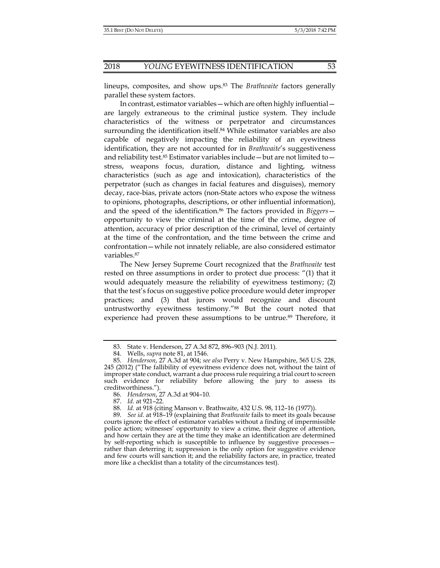lineups, composites, and show ups.83 The *Brathwaite* factors generally parallel these system factors.

 In contrast, estimator variables—which are often highly influential are largely extraneous to the criminal justice system. They include characteristics of the witness or perpetrator and circumstances surrounding the identification itself.<sup>84</sup> While estimator variables are also capable of negatively impacting the reliability of an eyewitness identification, they are not accounted for in *Brathwaite*'s suggestiveness and reliability test. $85$  Estimator variables include — but are not limited to stress, weapons focus, duration, distance and lighting, witness characteristics (such as age and intoxication), characteristics of the perpetrator (such as changes in facial features and disguises), memory decay, race-bias, private actors (non-State actors who expose the witness to opinions, photographs, descriptions, or other influential information), and the speed of the identification.86 The factors provided in *Biggers* opportunity to view the criminal at the time of the crime, degree of attention, accuracy of prior description of the criminal, level of certainty at the time of the confrontation, and the time between the crime and confrontation—while not innately reliable, are also considered estimator variables.87

The New Jersey Supreme Court recognized that the *Brathwaite* test rested on three assumptions in order to protect due process: "(1) that it would adequately measure the reliability of eyewitness testimony; (2) that the test's focus on suggestive police procedure would deter improper practices; and (3) that jurors would recognize and discount untrustworthy eyewitness testimony."88 But the court noted that experience had proven these assumptions to be untrue.<sup>89</sup> Therefore, it

87. *Id.* at 921–22.

 <sup>83.</sup> State v. Henderson, 27 A.3d 872, 896–903 (N.J. 2011).

 <sup>84.</sup> Wells, *supra* note 81, at 1546.

 <sup>85.</sup> *Henderson*, 27 A.3d at 904; *see also* Perry v. New Hampshire, 565 U.S. 228, 245 (2012) ("The fallibility of eyewitness evidence does not, without the taint of improper state conduct, warrant a due process rule requiring a trial court to screen such evidence for reliability before allowing the jury to assess its creditworthiness.").

 <sup>86.</sup> *Henderson*, 27 A.3d at 904–10.

 <sup>88.</sup> *Id.* at 918 (citing Manson v. Brathwaite, 432 U.S. 98, 112–16 (1977)).

 <sup>89.</sup> *See id.* at 918–19 (explaining that *Brathwaite* fails to meet its goals because courts ignore the effect of estimator variables without a finding of impermissible police action; witnesses' opportunity to view a crime, their degree of attention, and how certain they are at the time they make an identification are determined by self-reporting which is susceptible to influence by suggestive processes rather than deterring it; suppression is the only option for suggestive evidence and few courts will sanction it; and the reliability factors are, in practice, treated more like a checklist than a totality of the circumstances test).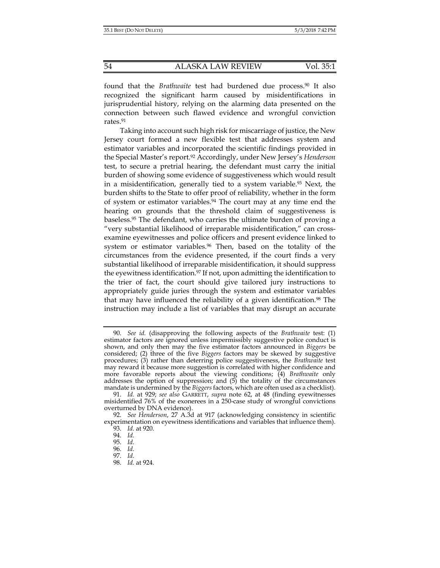found that the *Brathwaite* test had burdened due process.90 It also recognized the significant harm caused by misidentifications in jurisprudential history, relying on the alarming data presented on the connection between such flawed evidence and wrongful conviction rates.91

Taking into account such high risk for miscarriage of justice, the New Jersey court formed a new flexible test that addresses system and estimator variables and incorporated the scientific findings provided in the Special Master's report.92 Accordingly, under New Jersey's *Henderson*  test, to secure a pretrial hearing, the defendant must carry the initial burden of showing some evidence of suggestiveness which would result in a misidentification, generally tied to a system variable.93 Next, the burden shifts to the State to offer proof of reliability, whether in the form of system or estimator variables.94 The court may at any time end the hearing on grounds that the threshold claim of suggestiveness is baseless.95 The defendant, who carries the ultimate burden of proving a "very substantial likelihood of irreparable misidentification," can crossexamine eyewitnesses and police officers and present evidence linked to system or estimator variables.96 Then, based on the totality of the circumstances from the evidence presented, if the court finds a very substantial likelihood of irreparable misidentification, it should suppress the eyewitness identification.<sup>97</sup> If not, upon admitting the identification to the trier of fact, the court should give tailored jury instructions to appropriately guide juries through the system and estimator variables that may have influenced the reliability of a given identification.<sup>98</sup> The instruction may include a list of variables that may disrupt an accurate

 <sup>90.</sup> *See id.* (disapproving the following aspects of the *Brathwaite* test: (1) estimator factors are ignored unless impermissibly suggestive police conduct is shown, and only then may the five estimator factors announced in *Biggers* be considered; (2) three of the five *Biggers* factors may be skewed by suggestive procedures; (3) rather than deterring police suggestiveness, the *Brathwaite* test may reward it because more suggestion is correlated with higher confidence and more favorable reports about the viewing conditions; (4) *Brathwaite* only addresses the option of suppression; and (5) the totality of the circumstances mandate is undermined by the *Biggers* factors, which are often used as a checklist).

 <sup>91.</sup> *Id.* at 929; *see also* GARRETT, *supra* note 62, at 48 (finding eyewitnesses misidentified 76% of the exonerees in a 250-case study of wrongful convictions overturned by DNA evidence).

 <sup>92.</sup> *See Henderson*, 27 A.3d at 917 (acknowledging consistency in scientific experimentation on eyewitness identifications and variables that influence them).

 <sup>93.</sup> *Id.* at 920.

 <sup>94.</sup> *Id.*

 <sup>95.</sup> *Id.*

 <sup>96.</sup> *Id.*

 <sup>97.</sup> *Id.*

 <sup>98.</sup> *Id.* at 924.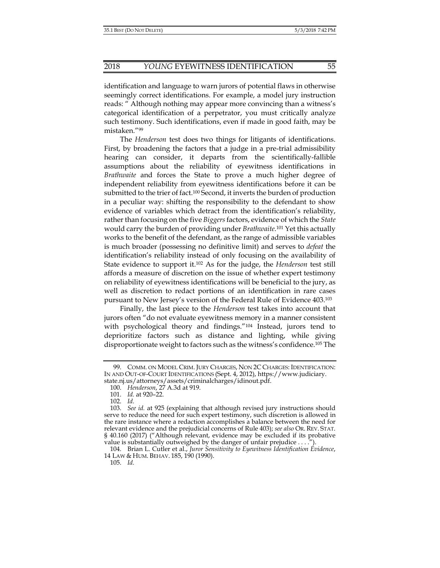identification and language to warn jurors of potential flaws in otherwise seemingly correct identifications. For example, a model jury instruction reads: " Although nothing may appear more convincing than a witness's categorical identification of a perpetrator, you must critically analyze such testimony. Such identifications, even if made in good faith, may be mistaken."99

The *Henderson* test does two things for litigants of identifications. First, by broadening the factors that a judge in a pre-trial admissibility hearing can consider, it departs from the scientifically-fallible assumptions about the reliability of eyewitness identifications in *Brathwaite* and forces the State to prove a much higher degree of independent reliability from eyewitness identifications before it can be submitted to the trier of fact.100 Second, it inverts the burden of production in a peculiar way: shifting the responsibility to the defendant to show evidence of variables which detract from the identification's reliability, rather than focusing on the five *Biggers* factors, evidence of which the *State*  would carry the burden of providing under *Brathwaite*.101 Yet this actually works to the benefit of the defendant, as the range of admissible variables is much broader (possessing no definitive limit) and serves to *defeat* the identification's reliability instead of only focusing on the availability of State evidence to support it.102 As for the judge, the *Henderson* test still affords a measure of discretion on the issue of whether expert testimony on reliability of eyewitness identifications will be beneficial to the jury, as well as discretion to redact portions of an identification in rare cases pursuant to New Jersey's version of the Federal Rule of Evidence 403.103

Finally, the last piece to the *Henderson* test takes into account that jurors often "do not evaluate eyewitness memory in a manner consistent with psychological theory and findings."104 Instead, jurors tend to deprioritize factors such as distance and lighting, while giving disproportionate weight to factors such as the witness's confidence.105 The

 <sup>99.</sup> COMM. ON MODEL CRIM. JURY CHARGES, NON 2C CHARGES: IDENTIFICATION: IN AND OUT-OF-COURT IDENTIFICATIONS (Sept. 4, 2012), https://www.judiciary. state.nj.us/attorneys/assets/criminalcharges/idinout.pdf.

 <sup>100.</sup> *Henderson*, 27 A.3d at 919.

 <sup>101.</sup> *Id.* at 920–22.

 <sup>102.</sup> *Id.*

 <sup>103.</sup> *See id.* at 925 (explaining that although revised jury instructions should serve to reduce the need for such expert testimony, such discretion is allowed in the rare instance where a redaction accomplishes a balance between the need for relevant evidence and the prejudicial concerns of Rule 403); *see also* OR. REV. STAT. § 40.160 (2017) ("Although relevant, evidence may be excluded if its probative value is substantially outweighed by the danger of unfair prejudice . . . .").

 <sup>104.</sup> Brian L. Cutler et al., *Juror Sensitivity to Eyewitness Identification Evidence*, 14 LAW & HUM. BEHAV. 185, 190 (1990).

 <sup>105.</sup> *Id.*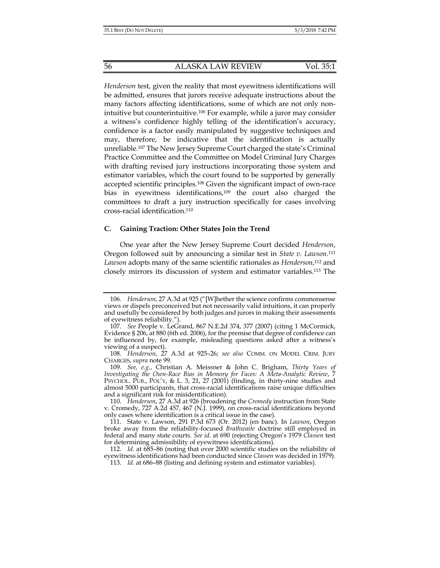*Henderson* test, given the reality that most eyewitness identifications will be admitted, ensures that jurors receive adequate instructions about the many factors affecting identifications, some of which are not only nonintuitive but counterintuitive.106 For example, while a juror may consider a witness's confidence highly telling of the identification's accuracy, confidence is a factor easily manipulated by suggestive techniques and may, therefore, be indicative that the identification is actually unreliable.107 The New Jersey Supreme Court charged the state's Criminal Practice Committee and the Committee on Model Criminal Jury Charges with drafting revised jury instructions incorporating those system and estimator variables, which the court found to be supported by generally accepted scientific principles.108 Given the significant impact of own-race bias in eyewitness identifications,<sup>109</sup> the court also charged the committees to draft a jury instruction specifically for cases involving cross-racial identification.110

# **C. Gaining Traction: Other States Join the Trend**

One year after the New Jersey Supreme Court decided *Henderson*, Oregon followed suit by announcing a similar test in *State v. Lawson*. 111 *Lawson* adopts many of the same scientific rationales as *Henderson*, 112 and closely mirrors its discussion of system and estimator variables.113 The

 <sup>106.</sup> *Henderson*, 27 A.3d at 925 ("[W]hether the science confirms commonsense views or dispels preconceived but not necessarily valid intuitions, it can properly and usefully be considered by both judges and jurors in making their assessments of eyewitness reliability.").

 <sup>107.</sup> *See* People v. LeGrand, 867 N.E.2d 374, 377 (2007) (citing 1 McCormick, Evidence § 206, at 880 (6th ed. 2006), for the premise that degree of confidence can be influenced by, for example, misleading questions asked after a witness's viewing of a suspect).

 <sup>108.</sup> *Henderson*, 27 A.3d at 925–26; *see also* COMM. ON MODEL CRIM. JURY CHARGES, *supra* note 99.

 <sup>109.</sup> *See, e.g.*, Christian A. Meissner & John C. Brigham, *Thirty Years of Investigating the Own-Race Bias in Memory for Faces: A Meta-Analytic Review*, 7 PSYCHOL. PUB., POL'Y, & L. 3, 21, 27  $(200\text{I})$  (finding, in thirty-nine studies and almost 5000 participants, that cross-racial identifications raise unique difficulties and a significant risk for misidentification).

 <sup>110.</sup> *Henderson*, 27 A.3d at 926 (broadening the *Cromedy* instruction from State v. Cromedy, 727 A.2d 457, 467 (N.J. 1999), on cross-racial identifications beyond only cases where identification is a critical issue in the case).

 <sup>111.</sup> State v. Lawson, 291 P.3d 673 (Or. 2012) (en banc). In *Lawson*, Oregon broke away from the reliability-focused *Brathwaite* doctrine still employed in federal and many state courts. *See id.* at 690 (rejecting Oregon's 1979 *Classen* test for determining admissibility of eyewitness identifications).

 <sup>112.</sup> *Id.* at 685–86 (noting that over 2000 scientific studies on the reliability of eyewitness identifications had been conducted since *Classen* was decided in 1979).

 <sup>113.</sup> *Id.* at 686–88 (listing and defining system and estimator variables).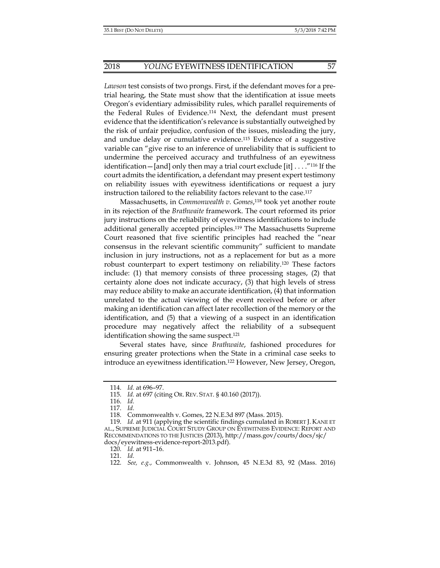*Lawson* test consists of two prongs. First, if the defendant moves for a pretrial hearing, the State must show that the identification at issue meets Oregon's evidentiary admissibility rules, which parallel requirements of the Federal Rules of Evidence.114 Next, the defendant must present evidence that the identification's relevance is substantially outweighed by the risk of unfair prejudice, confusion of the issues, misleading the jury, and undue delay or cumulative evidence.115 Evidence of a suggestive variable can "give rise to an inference of unreliability that is sufficient to undermine the perceived accuracy and truthfulness of an eyewitness identification – [and] only then may a trial court exclude  $[it] \ldots$ ."<sup>116</sup> If the court admits the identification, a defendant may present expert testimony on reliability issues with eyewitness identifications or request a jury instruction tailored to the reliability factors relevant to the case.117

Massachusetts, in *Commonwealth v. Gomes*, 118 took yet another route in its rejection of the *Brathwaite* framework. The court reformed its prior jury instructions on the reliability of eyewitness identifications to include additional generally accepted principles.119 The Massachusetts Supreme Court reasoned that five scientific principles had reached the "near consensus in the relevant scientific community" sufficient to mandate inclusion in jury instructions, not as a replacement for but as a more robust counterpart to expert testimony on reliability.120 These factors include: (1) that memory consists of three processing stages, (2) that certainty alone does not indicate accuracy, (3) that high levels of stress may reduce ability to make an accurate identification, (4) that information unrelated to the actual viewing of the event received before or after making an identification can affect later recollection of the memory or the identification, and (5) that a viewing of a suspect in an identification procedure may negatively affect the reliability of a subsequent identification showing the same suspect.<sup>121</sup>

Several states have, since *Brathwaite*, fashioned procedures for ensuring greater protections when the State in a criminal case seeks to introduce an eyewitness identification.122 However, New Jersey, Oregon,

 <sup>114.</sup> *Id.* at 696–97.

 <sup>115.</sup> *Id.* at 697 (citing OR. REV. STAT. § 40.160 (2017)).

 <sup>116.</sup> *Id.*

 <sup>117.</sup> *Id.*

 <sup>118.</sup> Commonwealth v. Gomes, 22 N.E.3d 897 (Mass. 2015).

 <sup>119.</sup> *Id.* at 911 (applying the scientific findings cumulated in ROBERT J. KANE ET AL., SUPREME JUDICIAL COURT STUDY GROUP ON EYEWITNESS EVIDENCE: REPORT AND RECOMMENDATIONS TO THE JUSTICES (2013), http://mass.gov/courts/docs/sjc/ docs/eyewitness-evidence-report-2013.pdf).

 <sup>120.</sup> *Id.* at 911–16.

 <sup>121.</sup> *Id.*

 <sup>122.</sup> *See, e.g.*, Commonwealth v. Johnson, 45 N.E.3d 83, 92 (Mass. 2016)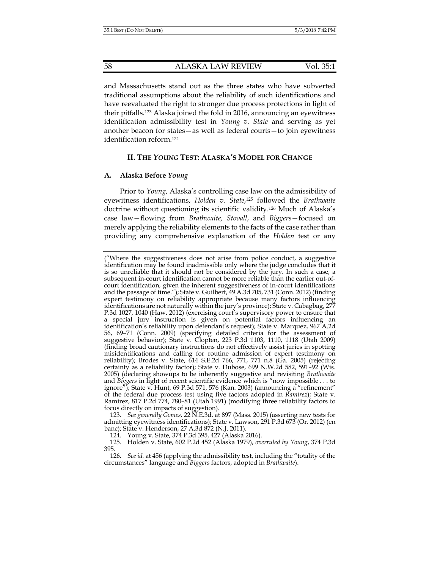and Massachusetts stand out as the three states who have subverted traditional assumptions about the reliability of such identifications and have reevaluated the right to stronger due process protections in light of their pitfalls.123 Alaska joined the fold in 2016, announcing an eyewitness identification admissibility test in *Young v. State* and serving as yet another beacon for states—as well as federal courts—to join eyewitness identification reform.124

# **II. THE** *YOUNG* **TEST: ALASKA'S MODEL FOR CHANGE**

## **A. Alaska Before** *Young*

Prior to *Young*, Alaska's controlling case law on the admissibility of eyewitness identifications, *Holden v. State*, 125 followed the *Brathwaite* doctrine without questioning its scientific validity.126 Much of Alaska's case law—flowing from *Brathwaite, Stovall*, and *Biggers*—focused on merely applying the reliability elements to the facts of the case rather than providing any comprehensive explanation of the *Holden* test or any

 123. *See generally Gomes*, 22 N.E.3d. at 897 (Mass. 2015) (asserting new tests for admitting eyewitness identifications); State v. Lawson, 291 P.3d 673 (Or. 2012) (en banc); State v. Henderson, 27 A.3d 872 (N.J. 2011).

124. Young v. State, 374 P.3d 395, 427 (Alaska 2016).

<sup>(&</sup>quot;Where the suggestiveness does not arise from police conduct, a suggestive identification may be found inadmissible only where the judge concludes that it is so unreliable that it should not be considered by the jury. In such a case, a subsequent in-court identification cannot be more reliable than the earlier out-ofcourt identification, given the inherent suggestiveness of in-court identifications and the passage of time."); State v. Guilbert, 49 A.3d 705, 731 (Conn. 2012) (finding expert testimony on reliability appropriate because many factors influencing identifications are not naturally within the jury's province); State v. Cabagbag, 277 P.3d 1027, 1040 (Haw. 2012) (exercising court's supervisory power to ensure that a special jury instruction is given on potential factors influencing an identification's reliability upon defendant's request); State v. Marquez, 967 A.2d 56, 69–71 (Conn. 2009) (specifying detailed criteria for the assessment of suggestive behavior); State v. Clopten, 223 P.3d 1103, 1110, 1118 (Utah 2009) (finding broad cautionary instructions do not effectively assist juries in spotting misidentifications and calling for routine admission of expert testimony on reliability); Brodes v. State, 614 S.E.2d 766, 771, 771 n.8 (Ga. 2005) (rejecting certainty as a reliability factor); State v. Dubose, 699 N.W.2d 582, 591–92 (Wis. 2005) (declaring showups to be inherently suggestive and revisiting *Brathwaite* and *Biggers* in light of recent scientific evidence which is "now impossible . . . to ignore"); State v. Hunt, 69 P.3d 571, 576 (Kan. 2003) (announcing a "refinement" of the federal due process test using five factors adopted in *Ramirez*); State v. Ramirez, 817 P.2d 774, 780–81 (Utah 1991) (modifying three reliability factors to focus directly on impacts of suggestion).

 <sup>125.</sup> Holden v. State, 602 P.2d 452 (Alaska 1979), *overruled by Young*, 374 P.3d 395.

 <sup>126.</sup> *See id.* at 456 (applying the admissibility test, including the "totality of the circumstances" language and *Biggers* factors, adopted in *Brathwaite*).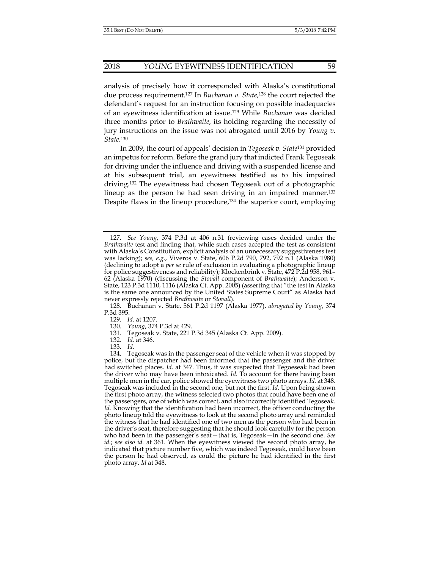#### 2018 *YOUNG* EYEWITNESS IDENTIFICATION 59

analysis of precisely how it corresponded with Alaska's constitutional due process requirement.127 In *Buchanan v. State*, 128 the court rejected the defendant's request for an instruction focusing on possible inadequacies of an eyewitness identification at issue.129 While *Buchanan* was decided three months prior to *Brathwaite*, its holding regarding the necessity of jury instructions on the issue was not abrogated until 2016 by *Young v. State*. 130

In 2009, the court of appeals' decision in *Tegoseak v. State*131 provided an impetus for reform. Before the grand jury that indicted Frank Tegoseak for driving under the influence and driving with a suspended license and at his subsequent trial, an eyewitness testified as to his impaired driving.132 The eyewitness had chosen Tegoseak out of a photographic lineup as the person he had seen driving in an impaired manner.133 Despite flaws in the lineup procedure, $134$  the superior court, employing

131. Tegoseak v. State, 221 P.3d 345 (Alaska Ct. App. 2009).

 <sup>127.</sup> *See Young*, 374 P.3d at 406 n.31 (reviewing cases decided under the *Brathwaite* test and finding that, while such cases accepted the test as consistent with Alaska's Constitution, explicit analysis of an unnecessary suggestiveness test was lacking); *see, e.g.*, Viveros v. State, 606 P.2d 790, 792, 792 n.1 (Alaska 1980) (declining to adopt a *per se* rule of exclusion in evaluating a photographic lineup for police suggestiveness and reliability); Klockenbrink v. State, 472 P.2d 958, 961– 62 (Alaska 1970) (discussing the *Stovall* component of *Brathwaite*); Anderson v. State, 123 P.3d 1110, 1116 (Alaska Ct. App. 2005) (asserting that "the test in Alaska is the same one announced by the United States Supreme Court" as Alaska had never expressly rejected *Brathwaite* or *Stovall*).

 <sup>128.</sup> Buchanan v. State, 561 P.2d 1197 (Alaska 1977), *abrogated by Young*, 374 P.3d 395.

 <sup>129.</sup> *Id.* at 1207.

 <sup>130.</sup> *Young*, 374 P.3d at 429.

 <sup>132.</sup> *Id.* at 346.

 <sup>133.</sup> *Id.* 

 <sup>134.</sup> Tegoseak was in the passenger seat of the vehicle when it was stopped by police, but the dispatcher had been informed that the passenger and the driver had switched places. *Id.* at 347. Thus, it was suspected that Tegoeseak had been the driver who may have been intoxicated. *Id.* To account for there having been multiple men in the car, police showed the eyewitness two photo arrays. *Id.* at 348. Tegoseak was included in the second one, but not the first. *Id.* Upon being shown the first photo array, the witness selected two photos that could have been one of the passengers, one of which was correct, and also incorrectly identified Tegoseak. Id. Knowing that the identification had been incorrect, the officer conducting the photo lineup told the eyewitness to look at the second photo array and reminded the witness that he had identified one of two men as the person who had been in the driver's seat, therefore suggesting that he should look carefully for the person who had been in the passenger's seat—that is, Tegoseak—in the second one. *See id.*; *see also id.* at 361. When the eyewitness viewed the second photo array, he indicated that picture number five, which was indeed Tegoseak, could have been the person he had observed, as could the picture he had identified in the first photo array. *Id* at 348.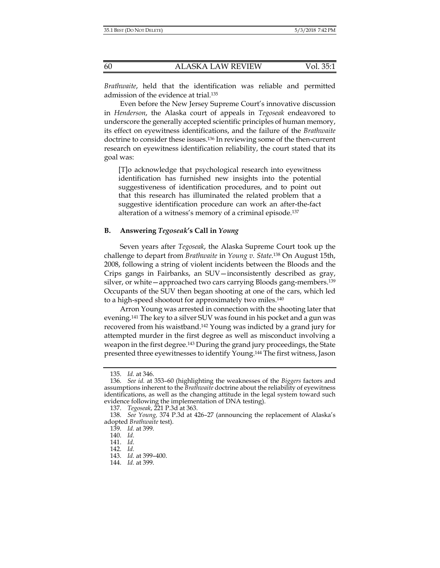*Brathwaite*, held that the identification was reliable and permitted admission of the evidence at trial.135

Even before the New Jersey Supreme Court's innovative discussion in *Henderson*, the Alaska court of appeals in *Tegoseak* endeavored to underscore the generally accepted scientific principles of human memory, its effect on eyewitness identifications, and the failure of the *Brathwaite* doctrine to consider these issues.<sup>136</sup> In reviewing some of the then-current research on eyewitness identification reliability, the court stated that its goal was:

[T]o acknowledge that psychological research into eyewitness identification has furnished new insights into the potential suggestiveness of identification procedures, and to point out that this research has illuminated the related problem that a suggestive identification procedure can work an after-the-fact alteration of a witness's memory of a criminal episode.137

# **B. Answering** *Tegoseak***'s Call in** *Young*

Seven years after *Tegoseak*, the Alaska Supreme Court took up the challenge to depart from *Brathwaite* in *Young v. State*.138 On August 15th, 2008, following a string of violent incidents between the Bloods and the Crips gangs in Fairbanks, an SUV—inconsistently described as gray, silver, or white—approached two cars carrying Bloods gang-members.139 Occupants of the SUV then began shooting at one of the cars, which led to a high-speed shootout for approximately two miles.140

Arron Young was arrested in connection with the shooting later that evening.141 The key to a silver SUV was found in his pocket and a gun was recovered from his waistband.142 Young was indicted by a grand jury for attempted murder in the first degree as well as misconduct involving a weapon in the first degree.143 During the grand jury proceedings, the State presented three eyewitnesses to identify Young.144 The first witness, Jason

 <sup>135.</sup> *Id.* at 346.

 <sup>136.</sup> *See id.* at 353–60 (highlighting the weaknesses of the *Biggers* factors and assumptions inherent to the *Brathwaite* doctrine about the reliability of eyewitness identifications, as well as the changing attitude in the legal system toward such evidence following the implementation of DNA testing).

 <sup>137.</sup> *Tegoseak*, 221 P.3d at 363.

 <sup>138.</sup> *See Young,* 374 P.3d at 426–27 (announcing the replacement of Alaska's adopted *Brathwaite* test).

 <sup>139.</sup> *Id.* at 399.

 <sup>140.</sup> *Id.*

 <sup>141.</sup> *Id.*

 <sup>142.</sup> *Id.*

 <sup>143.</sup> *Id.* at 399–400.

 <sup>144.</sup> *Id.* at 399.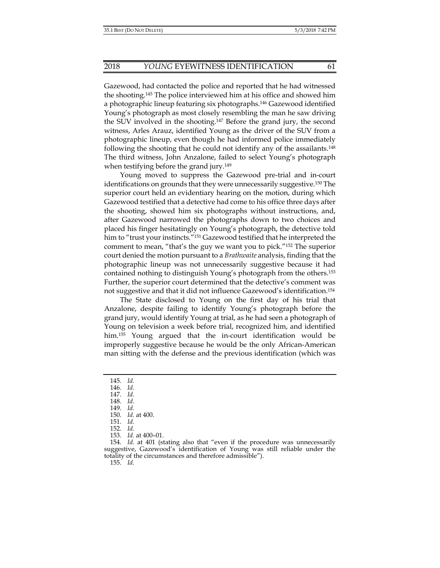Gazewood, had contacted the police and reported that he had witnessed the shooting.145 The police interviewed him at his office and showed him a photographic lineup featuring six photographs.146 Gazewood identified Young's photograph as most closely resembling the man he saw driving the SUV involved in the shooting.147 Before the grand jury, the second witness, Arles Arauz, identified Young as the driver of the SUV from a photographic lineup, even though he had informed police immediately following the shooting that he could not identify any of the assailants.<sup>148</sup> The third witness, John Anzalone, failed to select Young's photograph when testifying before the grand jury.<sup>149</sup>

Young moved to suppress the Gazewood pre-trial and in-court identifications on grounds that they were unnecessarily suggestive.150 The superior court held an evidentiary hearing on the motion, during which Gazewood testified that a detective had come to his office three days after the shooting, showed him six photographs without instructions, and, after Gazewood narrowed the photographs down to two choices and placed his finger hesitatingly on Young's photograph, the detective told him to "trust your instincts."<sup>151</sup> Gazewood testified that he interpreted the comment to mean, "that's the guy we want you to pick."152 The superior court denied the motion pursuant to a *Brathwaite* analysis, finding that the photographic lineup was not unnecessarily suggestive because it had contained nothing to distinguish Young's photograph from the others.153 Further, the superior court determined that the detective's comment was not suggestive and that it did not influence Gazewood's identification.154

The State disclosed to Young on the first day of his trial that Anzalone, despite failing to identify Young's photograph before the grand jury, would identify Young at trial, as he had seen a photograph of Young on television a week before trial, recognized him, and identified him.155 Young argued that the in-court identification would be improperly suggestive because he would be the only African-American man sitting with the defense and the previous identification (which was

- 145. *Id.*
- 146. *Id.*
- 147. *Id.*
- 148. *Id*.
	- 149. *Id.*
	- 150. *Id.* at 400.
- 151. *Id.*
- 152. *Id.*
- 153. *Id.* at 400–01.

 154. *Id.* at 401 (stating also that "even if the procedure was unnecessarily suggestive, Gazewood's identification of Young was still reliable under the totality of the circumstances and therefore admissible").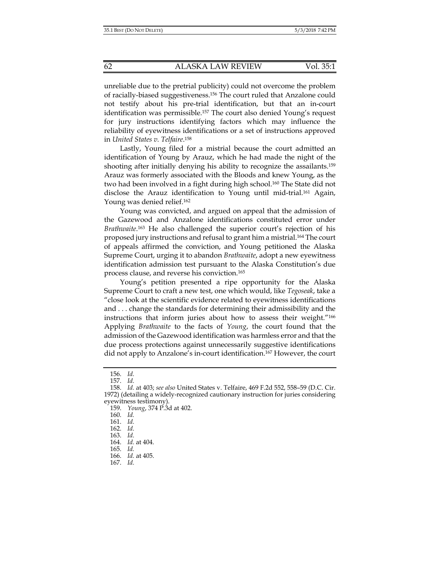unreliable due to the pretrial publicity) could not overcome the problem of racially-biased suggestiveness.156 The court ruled that Anzalone could not testify about his pre-trial identification, but that an in-court identification was permissible.157 The court also denied Young's request for jury instructions identifying factors which may influence the reliability of eyewitness identifications or a set of instructions approved in *United States v. Telfaire*. 158

Lastly, Young filed for a mistrial because the court admitted an identification of Young by Arauz, which he had made the night of the shooting after initially denying his ability to recognize the assailants.<sup>159</sup> Arauz was formerly associated with the Bloods and knew Young, as the two had been involved in a fight during high school.160 The State did not disclose the Arauz identification to Young until mid-trial.161 Again, Young was denied relief.<sup>162</sup>

Young was convicted, and argued on appeal that the admission of the Gazewood and Anzalone identifications constituted error under *Brathwaite*. 163 He also challenged the superior court's rejection of his proposed jury instructions and refusal to grant him a mistrial.164 The court of appeals affirmed the conviction, and Young petitioned the Alaska Supreme Court, urging it to abandon *Brathwaite*, adopt a new eyewitness identification admission test pursuant to the Alaska Constitution's due process clause, and reverse his conviction.165

Young's petition presented a ripe opportunity for the Alaska Supreme Court to craft a new test, one which would, like *Tegoseak*, take a "close look at the scientific evidence related to eyewitness identifications and . . . change the standards for determining their admissibility and the instructions that inform juries about how to assess their weight."166 Applying *Brathwaite* to the facts of *Young*, the court found that the admission of the Gazewood identification was harmless error and that the due process protections against unnecessarily suggestive identifications did not apply to Anzalone's in-court identification.167 However, the court

167. *Id.*

 <sup>156.</sup> *Id.*

 <sup>157.</sup> *Id.*

 <sup>158.</sup> *Id.* at 403; *see also* United States v. Telfaire, 469 F.2d 552, 558–59 (D.C. Cir. 1972) (detailing a widely-recognized cautionary instruction for juries considering eyewitness testimony).

 <sup>159.</sup> *Young*, 374 P.3d at 402.

 <sup>160.</sup> *Id.* 

 <sup>161.</sup> *Id.*

 <sup>162.</sup> *Id.*

 <sup>163.</sup> *Id.*

 <sup>164.</sup> *Id.* at 404.

 <sup>165.</sup> *Id.* 

 <sup>166.</sup> *Id.* at 405.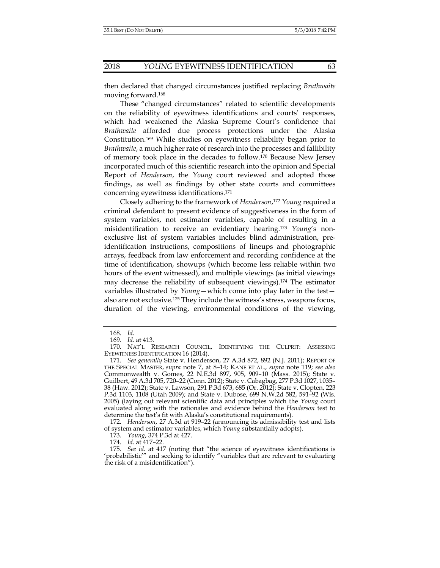then declared that changed circumstances justified replacing *Brathwaite* moving forward.168

These "changed circumstances" related to scientific developments on the reliability of eyewitness identifications and courts' responses, which had weakened the Alaska Supreme Court's confidence that *Brathwaite* afforded due process protections under the Alaska Constitution.169 While studies on eyewitness reliability began prior to *Brathwaite*, a much higher rate of research into the processes and fallibility of memory took place in the decades to follow.170 Because New Jersey incorporated much of this scientific research into the opinion and Special Report of *Henderson*, the *Young* court reviewed and adopted those findings, as well as findings by other state courts and committees concerning eyewitness identifications.171

Closely adhering to the framework of *Henderson*, <sup>172</sup> *Young* required a criminal defendant to present evidence of suggestiveness in the form of system variables, not estimator variables, capable of resulting in a misidentification to receive an evidentiary hearing.173 *Young*'s nonexclusive list of system variables includes blind administration, preidentification instructions, compositions of lineups and photographic arrays, feedback from law enforcement and recording confidence at the time of identification, showups (which become less reliable within two hours of the event witnessed), and multiple viewings (as initial viewings may decrease the reliability of subsequent viewings).174 The estimator variables illustrated by *Young*—which come into play later in the test also are not exclusive.175 They include the witness's stress, weapons focus, duration of the viewing, environmental conditions of the viewing,

174. *Id.* at 417–22.

 <sup>168.</sup> *Id.*

 <sup>169.</sup> *Id.* at 413.

 <sup>170.</sup> NAT'L RESEARCH COUNCIL, IDENTIFYING THE CULPRIT: ASSESSING EYEWITNESS IDENTIFICATION 16 (2014).

 <sup>171.</sup> *See generally* State v. Henderson, 27 A.3d 872, 892 (N.J. 2011); REPORT OF THE SPECIAL MASTER, *supra* note 7, at 8–14; KANE ET AL., *supra* note 119; *see also*  Commonwealth v. Gomes, 22 N.E.3d 897, 905, 909–10 (Mass. 2015); State v. Guilbert, 49 A.3d 705, 720–22 (Conn. 2012); State v. Cabagbag, 277 P.3d 1027, 1035– 38 (Haw. 2012); State v. Lawson, 291 P.3d 673, 685 (Or. 2012); State v. Clopten, 223 P.3d 1103, 1108 (Utah 2009); and State v. Dubose, 699 N.W.2d 582, 591–92 (Wis. 2005) (laying out relevant scientific data and principles which the *Young* court evaluated along with the rationales and evidence behind the *Henderson* test to determine the test's fit with Alaska's constitutional requirements).

 <sup>172.</sup> *Henderson*, 27 A.3d at 919–22 (announcing its admissibility test and lists of system and estimator variables, which *Young* substantially adopts).

 <sup>173.</sup> *Young*, 374 P.3d at 427.

 <sup>175.</sup> *See id.* at 417 (noting that "the science of eyewitness identifications is 'probabilistic'" and seeking to identify "variables that are relevant to evaluating the risk of a misidentification").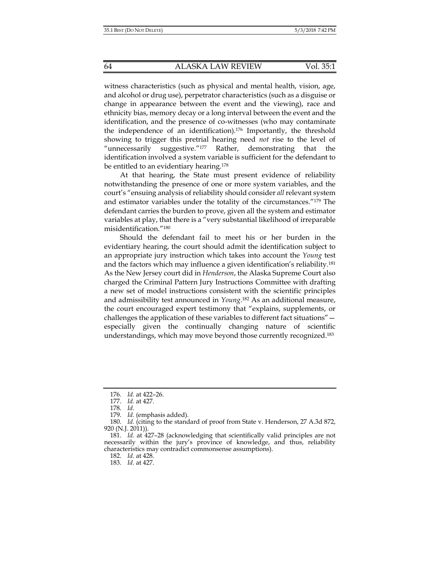witness characteristics (such as physical and mental health, vision, age, and alcohol or drug use), perpetrator characteristics (such as a disguise or change in appearance between the event and the viewing), race and ethnicity bias, memory decay or a long interval between the event and the identification, and the presence of co-witnesses (who may contaminate the independence of an identification).176 Importantly, the threshold showing to trigger this pretrial hearing need *not* rise to the level of "unnecessarily suggestive."<sup>177</sup> Rather, demonstrating that the identification involved a system variable is sufficient for the defendant to be entitled to an evidentiary hearing.<sup>178</sup>

At that hearing, the State must present evidence of reliability notwithstanding the presence of one or more system variables, and the court's "ensuing analysis of reliability should consider *all* relevant system and estimator variables under the totality of the circumstances."179 The defendant carries the burden to prove, given all the system and estimator variables at play, that there is a "very substantial likelihood of irreparable misidentification."180

Should the defendant fail to meet his or her burden in the evidentiary hearing, the court should admit the identification subject to an appropriate jury instruction which takes into account the *Young* test and the factors which may influence a given identification's reliability.181 As the New Jersey court did in *Henderson*, the Alaska Supreme Court also charged the Criminal Pattern Jury Instructions Committee with drafting a new set of model instructions consistent with the scientific principles and admissibility test announced in *Young*. 182 As an additional measure, the court encouraged expert testimony that "explains, supplements, or challenges the application of these variables to different fact situations" especially given the continually changing nature of scientific understandings, which may move beyond those currently recognized.183

 <sup>176.</sup> *Id.* at 422–26.

 <sup>177.</sup> *Id.* at 427.

 <sup>178.</sup> *Id.*

 <sup>179.</sup> *Id.* (emphasis added).

 <sup>180.</sup> *Id.* (citing to the standard of proof from State v. Henderson, 27 A.3d 872, 920 (N.J. 2011)).

 <sup>181.</sup> *Id.* at 427–28 (acknowledging that scientifically valid principles are not necessarily within the jury's province of knowledge, and thus, reliability characteristics may contradict commonsense assumptions).

 <sup>182.</sup> *Id.* at 428.

 <sup>183.</sup> *Id.* at 427.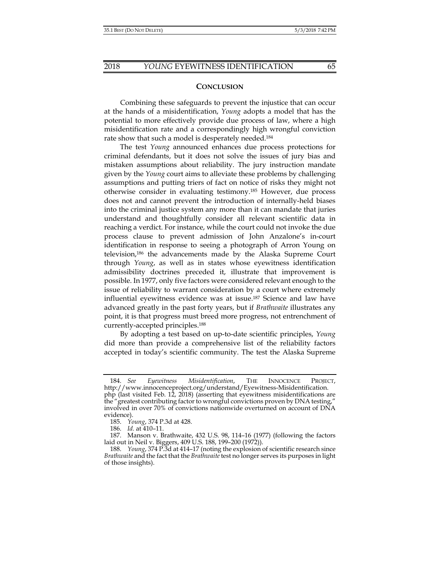## **CONCLUSION**

Combining these safeguards to prevent the injustice that can occur at the hands of a misidentification, *Young* adopts a model that has the potential to more effectively provide due process of law, where a high misidentification rate and a correspondingly high wrongful conviction rate show that such a model is desperately needed.184

The test *Young* announced enhances due process protections for criminal defendants, but it does not solve the issues of jury bias and mistaken assumptions about reliability. The jury instruction mandate given by the *Young* court aims to alleviate these problems by challenging assumptions and putting triers of fact on notice of risks they might not otherwise consider in evaluating testimony.185 However, due process does not and cannot prevent the introduction of internally-held biases into the criminal justice system any more than it can mandate that juries understand and thoughtfully consider all relevant scientific data in reaching a verdict. For instance, while the court could not invoke the due process clause to prevent admission of John Anzalone's in-court identification in response to seeing a photograph of Arron Young on television,186 the advancements made by the Alaska Supreme Court through *Young*, as well as in states whose eyewitness identification admissibility doctrines preceded it, illustrate that improvement is possible. In 1977, only five factors were considered relevant enough to the issue of reliability to warrant consideration by a court where extremely influential eyewitness evidence was at issue.187 Science and law have advanced greatly in the past forty years, but if *Brathwaite* illustrates any point, it is that progress must breed more progress, not entrenchment of currently-accepted principles.188

By adopting a test based on up-to-date scientific principles, *Young*  did more than provide a comprehensive list of the reliability factors accepted in today's scientific community. The test the Alaska Supreme

 <sup>184.</sup> *See Eyewitness Misidentification*, THE INNOCENCE PROJECT, http://www.innocenceproject.org/understand/Eyewitness-Misidentification. php (last visited Feb. 12, 2018) (asserting that eyewitness misidentifications are the "greatest contributing factor to wrongful convictions proven by DNA testing," involved in over 70% of convictions nationwide overturned on account of DNA evidence).

 <sup>185.</sup> *Young*, 374 P.3d at 428.

 <sup>186.</sup> *Id.* at 410–11.

 <sup>187.</sup> Manson v. Brathwaite, 432 U.S. 98, 114–16 (1977) (following the factors laid out in Neil v. Biggers, 409 U.S. 188, 199–200 (1972)).

 <sup>188.</sup> *Young*, 374 P.3d at 414–17 (noting the explosion of scientific research since *Brathwaite* and the fact that the *Brathwaite* test no longer serves its purposes in light of those insights).